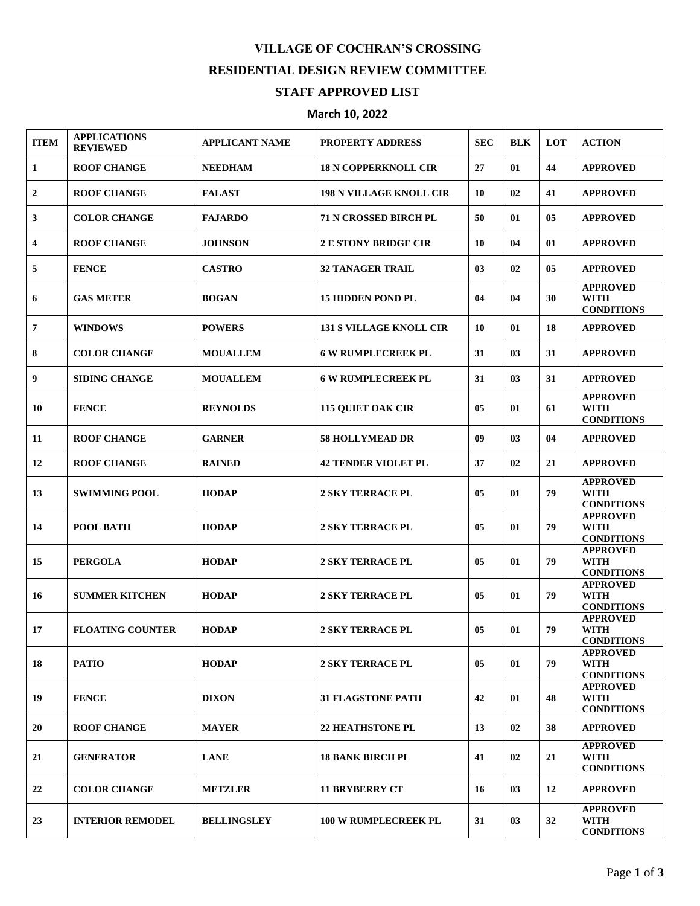## **VILLAGE OF COCHRAN'S CROSSING RESIDENTIAL DESIGN REVIEW COMMITTEE STAFF APPROVED LIST**

## **March 10, 2022**

| <b>ITEM</b>      | <b>APPLICATIONS</b><br><b>REVIEWED</b> | <b>APPLICANT NAME</b> | <b>PROPERTY ADDRESS</b>        | <b>SEC</b> | <b>BLK</b> | LOT | <b>ACTION</b>                                       |
|------------------|----------------------------------------|-----------------------|--------------------------------|------------|------------|-----|-----------------------------------------------------|
| 1                | <b>ROOF CHANGE</b>                     | <b>NEEDHAM</b>        | <b>18 N COPPERKNOLL CIR</b>    | 27         | 01         | 44  | <b>APPROVED</b>                                     |
| $\boldsymbol{2}$ | <b>ROOF CHANGE</b>                     | <b>FALAST</b>         | <b>198 N VILLAGE KNOLL CIR</b> | 10         | 02         | 41  | <b>APPROVED</b>                                     |
| 3                | <b>COLOR CHANGE</b>                    | <b>FAJARDO</b>        | <b>71 N CROSSED BIRCH PL</b>   | 50         | 01         | 05  | <b>APPROVED</b>                                     |
| 4                | <b>ROOF CHANGE</b>                     | <b>JOHNSON</b>        | <b>2 E STONY BRIDGE CIR</b>    | 10         | 04         | 01  | <b>APPROVED</b>                                     |
| 5                | <b>FENCE</b>                           | <b>CASTRO</b>         | <b>32 TANAGER TRAIL</b>        | 03         | 02         | 05  | <b>APPROVED</b>                                     |
| 6                | <b>GAS METER</b>                       | <b>BOGAN</b>          | <b>15 HIDDEN POND PL</b>       | 04         | 04         | 30  | <b>APPROVED</b><br>WITH<br><b>CONDITIONS</b>        |
| 7                | <b>WINDOWS</b>                         | <b>POWERS</b>         | <b>131 S VILLAGE KNOLL CIR</b> | 10         | 01         | 18  | <b>APPROVED</b>                                     |
| 8                | <b>COLOR CHANGE</b>                    | <b>MOUALLEM</b>       | <b>6 W RUMPLECREEK PL</b>      | 31         | 03         | 31  | <b>APPROVED</b>                                     |
| 9                | <b>SIDING CHANGE</b>                   | <b>MOUALLEM</b>       | <b>6 W RUMPLECREEK PL</b>      | 31         | 03         | 31  | <b>APPROVED</b>                                     |
| 10               | <b>FENCE</b>                           | <b>REYNOLDS</b>       | <b>115 QUIET OAK CIR</b>       | 05         | 01         | 61  | <b>APPROVED</b><br>WITH<br><b>CONDITIONS</b>        |
| 11               | <b>ROOF CHANGE</b>                     | <b>GARNER</b>         | <b>58 HOLLYMEAD DR</b>         | 09         | 03         | 04  | <b>APPROVED</b>                                     |
| 12               | <b>ROOF CHANGE</b>                     | <b>RAINED</b>         | <b>42 TENDER VIOLET PL</b>     | 37         | 02         | 21  | <b>APPROVED</b>                                     |
| 13               | <b>SWIMMING POOL</b>                   | <b>HODAP</b>          | <b>2 SKY TERRACE PL</b>        | 05         | 01         | 79  | <b>APPROVED</b><br><b>WITH</b><br><b>CONDITIONS</b> |
| 14               | <b>POOL BATH</b>                       | <b>HODAP</b>          | <b>2 SKY TERRACE PL</b>        | 05         | 01         | 79  | <b>APPROVED</b><br><b>WITH</b><br><b>CONDITIONS</b> |
| 15               | <b>PERGOLA</b>                         | <b>HODAP</b>          | <b>2 SKY TERRACE PL</b>        | 05         | 01         | 79  | <b>APPROVED</b><br><b>WITH</b><br><b>CONDITIONS</b> |
| 16               | <b>SUMMER KITCHEN</b>                  | <b>HODAP</b>          | <b>2 SKY TERRACE PL</b>        | 05         | 01         | 79  | <b>APPROVED</b><br><b>WITH</b><br><b>CONDITIONS</b> |
| 17               | <b>FLOATING COUNTER</b>                | <b>HODAP</b>          | <b>2 SKY TERRACE PL</b>        | 05         | 01         | 79  | <b>APPROVED</b><br><b>WITH</b><br><b>CONDITIONS</b> |
| 18               | <b>PATIO</b>                           | <b>HODAP</b>          | <b>2 SKY TERRACE PL</b>        | 05         | 01         | 79  | <b>APPROVED</b><br><b>WITH</b><br><b>CONDITIONS</b> |
| 19               | <b>FENCE</b>                           | <b>DIXON</b>          | <b>31 FLAGSTONE PATH</b>       | 42         | 01         | 48  | <b>APPROVED</b><br><b>WITH</b><br><b>CONDITIONS</b> |
| 20               | <b>ROOF CHANGE</b>                     | <b>MAYER</b>          | <b>22 HEATHSTONE PL</b>        | 13         | 02         | 38  | <b>APPROVED</b>                                     |
| 21               | <b>GENERATOR</b>                       | <b>LANE</b>           | <b>18 BANK BIRCH PL</b>        | 41         | 02         | 21  | <b>APPROVED</b><br><b>WITH</b><br><b>CONDITIONS</b> |
| 22               | <b>COLOR CHANGE</b>                    | <b>METZLER</b>        | <b>11 BRYBERRY CT</b>          | 16         | 03         | 12  | <b>APPROVED</b>                                     |
| 23               | <b>INTERIOR REMODEL</b>                | <b>BELLINGSLEY</b>    | <b>100 W RUMPLECREEK PL</b>    | 31         | 03         | 32  | <b>APPROVED</b><br>WITH<br><b>CONDITIONS</b>        |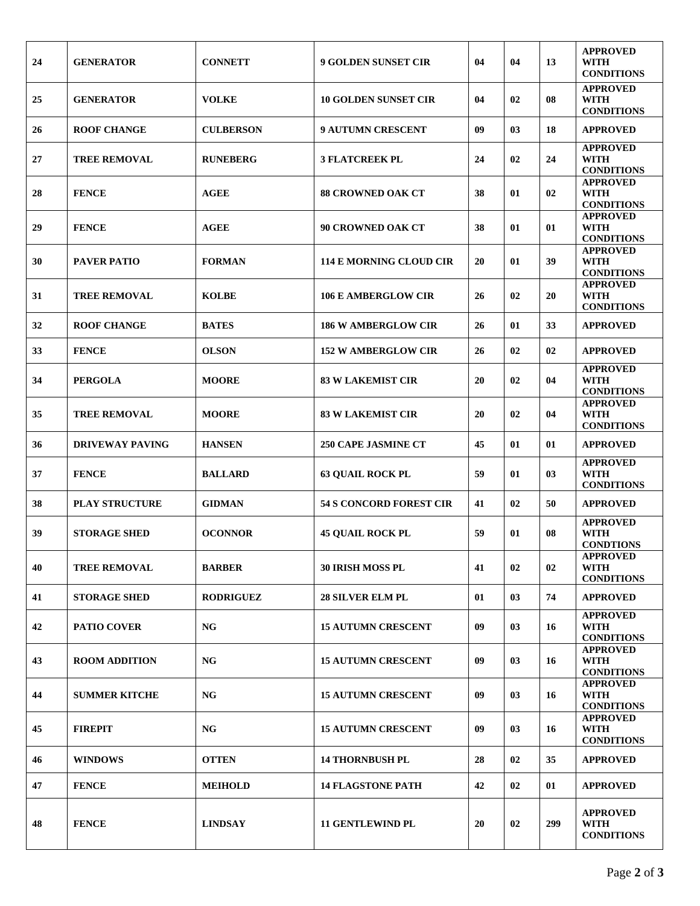| 24 | <b>GENERATOR</b>       | <b>CONNETT</b>   | <b>9 GOLDEN SUNSET CIR</b>     | 04 | 04 | 13  | <b>APPROVED</b><br>WITH<br><b>CONDITIONS</b>        |
|----|------------------------|------------------|--------------------------------|----|----|-----|-----------------------------------------------------|
| 25 | <b>GENERATOR</b>       | <b>VOLKE</b>     | <b>10 GOLDEN SUNSET CIR</b>    | 04 | 02 | 08  | <b>APPROVED</b><br><b>WITH</b><br><b>CONDITIONS</b> |
| 26 | <b>ROOF CHANGE</b>     | <b>CULBERSON</b> | <b>9 AUTUMN CRESCENT</b>       | 09 | 03 | 18  | <b>APPROVED</b>                                     |
| 27 | <b>TREE REMOVAL</b>    | <b>RUNEBERG</b>  | <b>3 FLATCREEK PL</b>          | 24 | 02 | 24  | <b>APPROVED</b><br>WITH<br><b>CONDITIONS</b>        |
| 28 | <b>FENCE</b>           | <b>AGEE</b>      | <b>88 CROWNED OAK CT</b>       | 38 | 01 | 02  | <b>APPROVED</b><br>WITH<br><b>CONDITIONS</b>        |
| 29 | <b>FENCE</b>           | <b>AGEE</b>      | <b>90 CROWNED OAK CT</b>       | 38 | 01 | 01  | <b>APPROVED</b><br><b>WITH</b><br><b>CONDITIONS</b> |
| 30 | <b>PAVER PATIO</b>     | <b>FORMAN</b>    | <b>114 E MORNING CLOUD CIR</b> | 20 | 01 | 39  | <b>APPROVED</b><br>WITH<br><b>CONDITIONS</b>        |
| 31 | <b>TREE REMOVAL</b>    | <b>KOLBE</b>     | <b>106 E AMBERGLOW CIR</b>     | 26 | 02 | 20  | <b>APPROVED</b><br><b>WITH</b><br><b>CONDITIONS</b> |
| 32 | <b>ROOF CHANGE</b>     | <b>BATES</b>     | <b>186 W AMBERGLOW CIR</b>     | 26 | 01 | 33  | <b>APPROVED</b>                                     |
| 33 | <b>FENCE</b>           | <b>OLSON</b>     | <b>152 W AMBERGLOW CIR</b>     | 26 | 02 | 02  | <b>APPROVED</b>                                     |
| 34 | <b>PERGOLA</b>         | <b>MOORE</b>     | <b>83 W LAKEMIST CIR</b>       | 20 | 02 | 04  | <b>APPROVED</b><br><b>WITH</b><br><b>CONDITIONS</b> |
| 35 | <b>TREE REMOVAL</b>    | <b>MOORE</b>     | <b>83 W LAKEMIST CIR</b>       | 20 | 02 | 04  | <b>APPROVED</b><br><b>WITH</b><br><b>CONDITIONS</b> |
| 36 | <b>DRIVEWAY PAVING</b> | <b>HANSEN</b>    | <b>250 CAPE JASMINE CT</b>     | 45 | 01 | 01  | <b>APPROVED</b>                                     |
| 37 | <b>FENCE</b>           | <b>BALLARD</b>   | <b>63 QUAIL ROCK PL</b>        | 59 | 01 | 03  | <b>APPROVED</b><br><b>WITH</b><br><b>CONDITIONS</b> |
| 38 | <b>PLAY STRUCTURE</b>  | <b>GIDMAN</b>    | <b>54 S CONCORD FOREST CIR</b> | 41 | 02 | 50  | <b>APPROVED</b>                                     |
| 39 | <b>STORAGE SHED</b>    | <b>OCONNOR</b>   | <b>45 OUAIL ROCK PL</b>        | 59 | 01 | 08  | <b>APPROVED</b><br>WITH<br><b>CONDTIONS</b>         |
| 40 | <b>TREE REMOVAL</b>    | <b>BARBER</b>    | <b>30 IRISH MOSS PL</b>        | 41 | 02 | 02  | APPROVED<br>WITH<br><b>CONDITIONS</b>               |
| 41 | <b>STORAGE SHED</b>    | <b>RODRIGUEZ</b> | <b>28 SILVER ELM PL</b>        | 01 | 03 | 74  | <b>APPROVED</b>                                     |
| 42 | <b>PATIO COVER</b>     | <b>NG</b>        | <b>15 AUTUMN CRESCENT</b>      | 09 | 03 | 16  | <b>APPROVED</b><br><b>WITH</b><br><b>CONDITIONS</b> |
| 43 | <b>ROOM ADDITION</b>   | <b>NG</b>        | <b>15 AUTUMN CRESCENT</b>      | 09 | 03 | 16  | <b>APPROVED</b><br><b>WITH</b><br><b>CONDITIONS</b> |
| 44 | <b>SUMMER KITCHE</b>   | <b>NG</b>        | <b>15 AUTUMN CRESCENT</b>      | 09 | 03 | 16  | <b>APPROVED</b><br><b>WITH</b><br><b>CONDITIONS</b> |
| 45 | <b>FIREPIT</b>         | <b>NG</b>        | <b>15 AUTUMN CRESCENT</b>      | 09 | 03 | 16  | <b>APPROVED</b><br><b>WITH</b><br><b>CONDITIONS</b> |
| 46 | <b>WINDOWS</b>         | <b>OTTEN</b>     | <b>14 THORNBUSH PL</b>         | 28 | 02 | 35  | <b>APPROVED</b>                                     |
| 47 | <b>FENCE</b>           | <b>MEIHOLD</b>   | <b>14 FLAGSTONE PATH</b>       | 42 | 02 | 01  | <b>APPROVED</b>                                     |
| 48 | <b>FENCE</b>           | <b>LINDSAY</b>   | <b>11 GENTLEWIND PL</b>        | 20 | 02 | 299 | <b>APPROVED</b><br><b>WITH</b><br><b>CONDITIONS</b> |